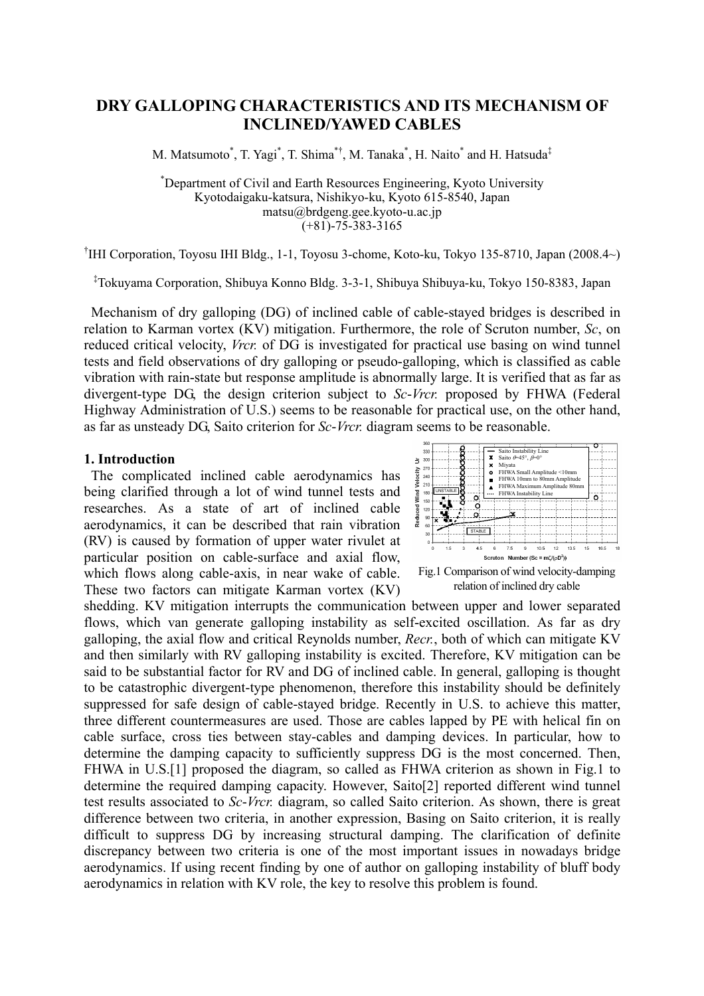# **DRY GALLOPING CHARACTERISTICS AND ITS MECHANISM OF INCLINED/YAWED CABLES**

M. Matsumoto\*, T. Yagi\*, T. Shima\*<sup>†</sup>, M. Tanaka\*, H. Naito\* and H. Hatsuda<sup>‡</sup>

\* Department of Civil and Earth Resources Engineering, Kyoto University Kyotodaigaku-katsura, Nishikyo-ku, Kyoto 615-8540, Japan matsu@brdgeng.gee.kyoto-u.ac.jp  $(+81) - 75 - 383 - 3165$ 

† IHI Corporation, Toyosu IHI Bldg., 1-1, Toyosu 3-chome, Koto-ku, Tokyo 135-8710, Japan (2008.4~)

‡ Tokuyama Corporation, Shibuya Konno Bldg. 3-3-1, Shibuya Shibuya-ku, Tokyo 150-8383, Japan

 Mechanism of dry galloping (DG) of inclined cable of cable-stayed bridges is described in relation to Karman vortex (KV) mitigation. Furthermore, the role of Scruton number, *Sc*, on reduced critical velocity, *Vrcr.* of DG is investigated for practical use basing on wind tunnel tests and field observations of dry galloping or pseudo-galloping, which is classified as cable vibration with rain-state but response amplitude is abnormally large. It is verified that as far as divergent-type DG, the design criterion subject to *Sc*-*Vrcr.* proposed by FHWA (Federal Highway Administration of U.S.) seems to be reasonable for practical use, on the other hand, as far as unsteady DG, Saito criterion for *Sc*-*Vrcr.* diagram seems to be reasonable.

## **1. Introduction**

 The complicated inclined cable aerodynamics has being clarified through a lot of wind tunnel tests and researches. As a state of art of inclined cable aerodynamics, it can be described that rain vibration (RV) is caused by formation of upper water rivulet at particular position on cable-surface and axial flow, which flows along cable-axis, in near wake of cable. These two factors can mitigate Karman vortex (KV)



shedding. KV mitigation interrupts the communication between upper and lower separated flows, which van generate galloping instability as self-excited oscillation. As far as dry galloping, the axial flow and critical Reynolds number, *Recr.*, both of which can mitigate KV and then similarly with RV galloping instability is excited. Therefore, KV mitigation can be said to be substantial factor for RV and DG of inclined cable. In general, galloping is thought to be catastrophic divergent-type phenomenon, therefore this instability should be definitely suppressed for safe design of cable-stayed bridge. Recently in U.S. to achieve this matter, three different countermeasures are used. Those are cables lapped by PE with helical fin on cable surface, cross ties between stay-cables and damping devices. In particular, how to determine the damping capacity to sufficiently suppress DG is the most concerned. Then, FHWA in U.S.[1] proposed the diagram, so called as FHWA criterion as shown in Fig.1 to determine the required damping capacity. However, Saito[2] reported different wind tunnel test results associated to *Sc*-*Vrcr.* diagram, so called Saito criterion. As shown, there is great difference between two criteria, in another expression, Basing on Saito criterion, it is really difficult to suppress DG by increasing structural damping. The clarification of definite discrepancy between two criteria is one of the most important issues in nowadays bridge aerodynamics. If using recent finding by one of author on galloping instability of bluff body aerodynamics in relation with KV role, the key to resolve this problem is found.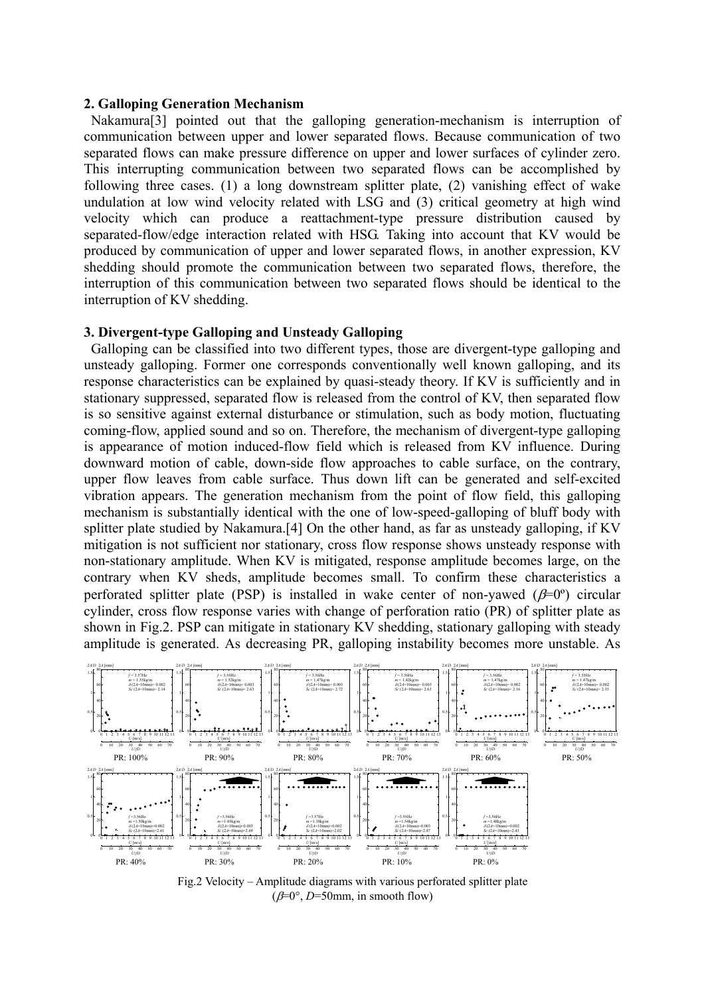### **2. Galloping Generation Mechanism**

 Nakamura[3] pointed out that the galloping generation-mechanism is interruption of communication between upper and lower separated flows. Because communication of two separated flows can make pressure difference on upper and lower surfaces of cylinder zero. This interrupting communication between two separated flows can be accomplished by following three cases. (1) a long downstream splitter plate, (2) vanishing effect of wake undulation at low wind velocity related with LSG and (3) critical geometry at high wind velocity which can produce a reattachment-type pressure distribution caused by separated-flow/edge interaction related with HSG. Taking into account that KV would be produced by communication of upper and lower separated flows, in another expression, KV shedding should promote the communication between two separated flows, therefore, the interruption of this communication between two separated flows should be identical to the interruption of KV shedding.

### **3. Divergent-type Galloping and Unsteady Galloping**

 Galloping can be classified into two different types, those are divergent-type galloping and unsteady galloping. Former one corresponds conventionally well known galloping, and its response characteristics can be explained by quasi-steady theory. If KV is sufficiently and in stationary suppressed, separated flow is released from the control of KV, then separated flow is so sensitive against external disturbance or stimulation, such as body motion, fluctuating coming-flow, applied sound and so on. Therefore, the mechanism of divergent-type galloping is appearance of motion induced-flow field which is released from KV influence. During downward motion of cable, down-side flow approaches to cable surface, on the contrary, upper flow leaves from cable surface. Thus down lift can be generated and self-excited vibration appears. The generation mechanism from the point of flow field, this galloping mechanism is substantially identical with the one of low-speed-galloping of bluff body with splitter plate studied by Nakamura.[4] On the other hand, as far as unsteady galloping, if KV mitigation is not sufficient nor stationary, cross flow response shows unsteady response with non-stationary amplitude. When KV is mitigated, response amplitude becomes large, on the contrary when KV sheds, amplitude becomes small. To confirm these characteristics a perforated splitter plate (PSP) is installed in wake center of non-yawed  $(\beta=0^{\circ})$  circular cylinder, cross flow response varies with change of perforation ratio (PR) of splitter plate as shown in Fig.2. PSP can mitigate in stationary KV shedding, stationary galloping with steady amplitude is generated. As decreasing PR, galloping instability becomes more unstable. As



Fig.2 Velocity – Amplitude diagrams with various perforated splitter plate  $(\beta=0^{\circ}, D=50$ mm, in smooth flow)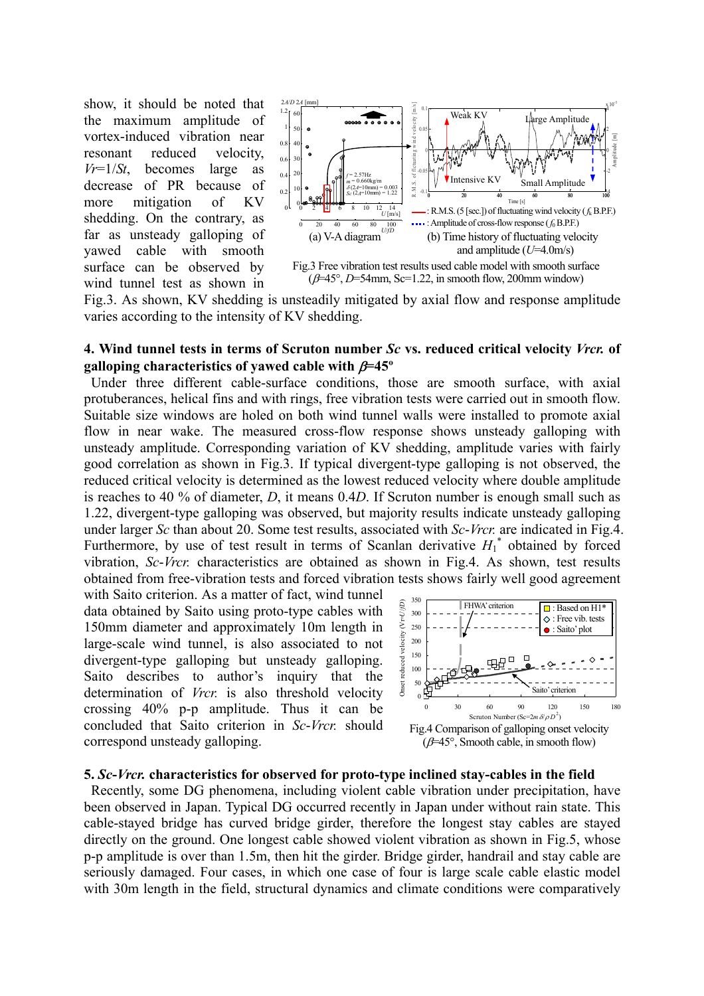show, it should be noted that the maximum amplitude of vortex-induced vibration near resonant reduced velocity, *Vr*=1/*St*, becomes large as decrease of PR because of more mitigation of KV shedding. On the contrary, as far as unsteady galloping of yawed cable with smooth surface can be observed by wind tunnel test as shown in



Fig.3. As shown, KV shedding is unsteadily mitigated by axial flow and response amplitude varies according to the intensity of KV shedding.

## **4. Wind tunnel tests in terms of Scruton number** *Sc* **vs. reduced critical velocity** *Vrcr.* **of galloping characteristics of yawed cable with** β**=45º**

 Under three different cable-surface conditions, those are smooth surface, with axial protuberances, helical fins and with rings, free vibration tests were carried out in smooth flow. Suitable size windows are holed on both wind tunnel walls were installed to promote axial flow in near wake. The measured cross-flow response shows unsteady galloping with unsteady amplitude. Corresponding variation of KV shedding, amplitude varies with fairly good correlation as shown in Fig.3. If typical divergent-type galloping is not observed, the reduced critical velocity is determined as the lowest reduced velocity where double amplitude is reaches to 40 % of diameter, *D*, it means 0.4*D*. If Scruton number is enough small such as 1.22, divergent-type galloping was observed, but majority results indicate unsteady galloping under larger *Sc* than about 20. Some test results, associated with *Sc*-*Vrcr.* are indicated in Fig.4. Furthermore, by use of test result in terms of Scanlan derivative  $H_1^*$  obtained by forced vibration, *Sc*-*Vrcr.* characteristics are obtained as shown in Fig.4. As shown, test results obtained from free-vibration tests and forced vibration tests shows fairly well good agreement

with Saito criterion. As a matter of fact, wind tunnel data obtained by Saito using proto-type cables with 150mm diameter and approximately 10m length in large-scale wind tunnel, is also associated to not divergent-type galloping but unsteady galloping. Saito describes to author's inquiry that the determination of *Vrcr.* is also threshold velocity crossing 40% p-p amplitude. Thus it can be concluded that Saito criterion in *Sc*-*Vrcr.* should correspond unsteady galloping.



### **5.** *Sc***-***Vrcr.* **characteristics for observed for proto-type inclined stay-cables in the field**

 Recently, some DG phenomena, including violent cable vibration under precipitation, have been observed in Japan. Typical DG occurred recently in Japan under without rain state. This cable-stayed bridge has curved bridge girder, therefore the longest stay cables are stayed directly on the ground. One longest cable showed violent vibration as shown in Fig.5, whose p-p amplitude is over than 1.5m, then hit the girder. Bridge girder, handrail and stay cable are seriously damaged. Four cases, in which one case of four is large scale cable elastic model with 30m length in the field, structural dynamics and climate conditions were comparatively